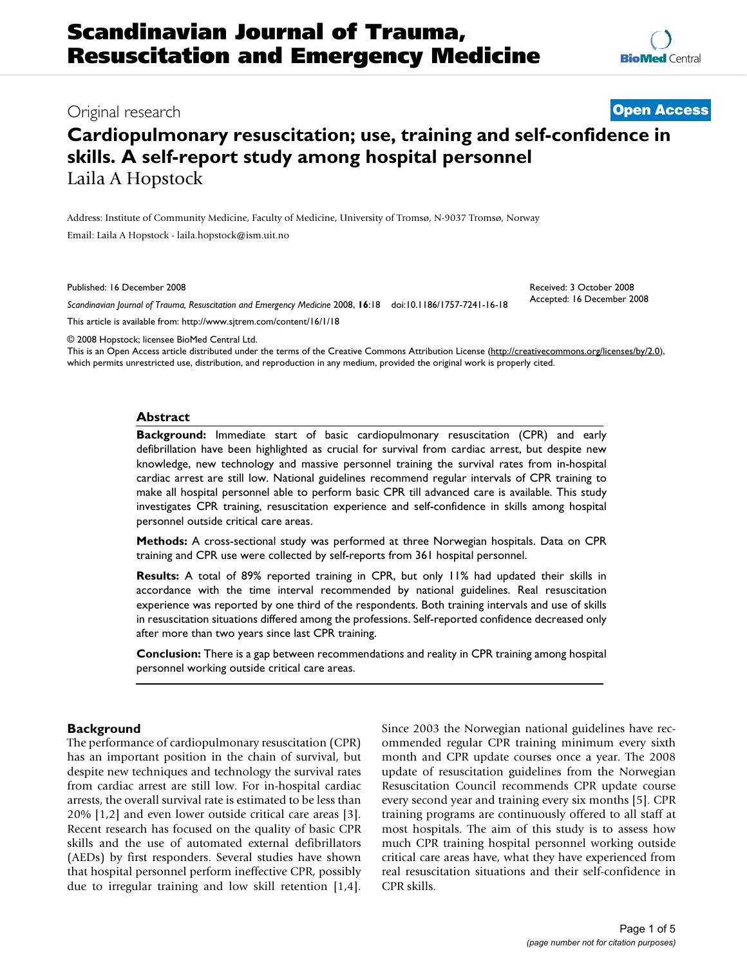**[BioMed](http://www.biomedcentral.com/)** Central

# Original research **[Open Access](http://www.biomedcentral.com/info/about/charter/)**

# **Cardiopulmonary resuscitation; use, training and self-confidence in skills. A self-report study among hospital personnel** Laila A Hopstock

Address: Institute of Community Medicine, Faculty of Medicine, University of Tromsø, N-9037 Tromsø, Norway Email: Laila A Hopstock - laila.hopstock@ism.uit.no

Published: 16 December 2008

*Scandinavian Journal of Trauma, Resuscitation and Emergency Medicine* 2008, **16**:18 doi:10.1186/1757-7241-16-18

[This article is available from: http://www.sjtrem.com/content/16/1/18](http://www.sjtrem.com/content/16/1/18)

Received: 3 October 2008 Accepted: 16 December 2008

© 2008 Hopstock; licensee BioMed Central Ltd. This is an Open Access article distributed under the terms of the Creative Commons Attribution License [\(http://creativecommons.org/licenses/by/2.0\)](http://creativecommons.org/licenses/by/2.0),

which permits unrestricted use, distribution, and reproduction in any medium, provided the original work is properly cited.

#### **Abstract**

**Background:** Immediate start of basic cardiopulmonary resuscitation (CPR) and early defibrillation have been highlighted as crucial for survival from cardiac arrest, but despite new knowledge, new technology and massive personnel training the survival rates from in-hospital cardiac arrest are still low. National guidelines recommend regular intervals of CPR training to make all hospital personnel able to perform basic CPR till advanced care is available. This study investigates CPR training, resuscitation experience and self-confidence in skills among hospital personnel outside critical care areas.

**Methods:** A cross-sectional study was performed at three Norwegian hospitals. Data on CPR training and CPR use were collected by self-reports from 361 hospital personnel.

**Results:** A total of 89% reported training in CPR, but only 11% had updated their skills in accordance with the time interval recommended by national guidelines. Real resuscitation experience was reported by one third of the respondents. Both training intervals and use of skills in resuscitation situations differed among the professions. Self-reported confidence decreased only after more than two years since last CPR training.

**Conclusion:** There is a gap between recommendations and reality in CPR training among hospital personnel working outside critical care areas.

#### **Background**

The performance of cardiopulmonary resuscitation (CPR) has an important position in the chain of survival, but despite new techniques and technology the survival rates from cardiac arrest are still low. For in-hospital cardiac arrests, the overall survival rate is estimated to be less than 20% [1,2] and even lower outside critical care areas [3]. Recent research has focused on the quality of basic CPR skills and the use of automated external defibrillators (AEDs) by first responders. Several studies have shown that hospital personnel perform ineffective CPR, possibly due to irregular training and low skill retention [1,4]. Since 2003 the Norwegian national guidelines have recommended regular CPR training minimum every sixth month and CPR update courses once a year. The 2008 update of resuscitation guidelines from the Norwegian Resuscitation Council recommends CPR update course every second year and training every six months [5]. CPR training programs are continuously offered to all staff at most hospitals. The aim of this study is to assess how much CPR training hospital personnel working outside critical care areas have, what they have experienced from real resuscitation situations and their self-confidence in CPR skills.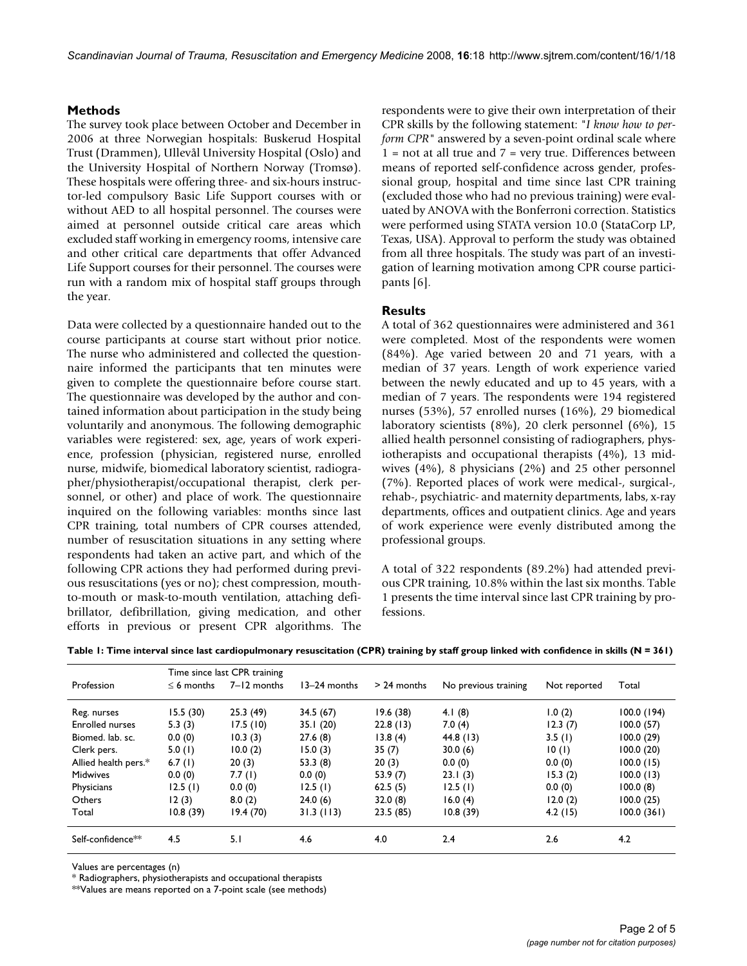#### **Methods**

The survey took place between October and December in 2006 at three Norwegian hospitals: Buskerud Hospital Trust (Drammen), Ullevål University Hospital (Oslo) and the University Hospital of Northern Norway (Tromsø). These hospitals were offering three- and six-hours instructor-led compulsory Basic Life Support courses with or without AED to all hospital personnel. The courses were aimed at personnel outside critical care areas which excluded staff working in emergency rooms, intensive care and other critical care departments that offer Advanced Life Support courses for their personnel. The courses were run with a random mix of hospital staff groups through the year.

Data were collected by a questionnaire handed out to the course participants at course start without prior notice. The nurse who administered and collected the questionnaire informed the participants that ten minutes were given to complete the questionnaire before course start. The questionnaire was developed by the author and contained information about participation in the study being voluntarily and anonymous. The following demographic variables were registered: sex, age, years of work experience, profession (physician, registered nurse, enrolled nurse, midwife, biomedical laboratory scientist, radiographer/physiotherapist/occupational therapist, clerk personnel, or other) and place of work. The questionnaire inquired on the following variables: months since last CPR training, total numbers of CPR courses attended, number of resuscitation situations in any setting where respondents had taken an active part, and which of the following CPR actions they had performed during previous resuscitations (yes or no); chest compression, mouthto-mouth or mask-to-mouth ventilation, attaching defibrillator, defibrillation, giving medication, and other efforts in previous or present CPR algorithms. The respondents were to give their own interpretation of their CPR skills by the following statement: "*I know how to perform CPR"* answered by a seven-point ordinal scale where  $1 =$  not at all true and  $7 =$  very true. Differences between means of reported self-confidence across gender, professional group, hospital and time since last CPR training (excluded those who had no previous training) were evaluated by ANOVA with the Bonferroni correction. Statistics were performed using STATA version 10.0 (StataCorp LP, Texas, USA). Approval to perform the study was obtained from all three hospitals. The study was part of an investigation of learning motivation among CPR course participants [6].

# **Results**

A total of 362 questionnaires were administered and 361 were completed. Most of the respondents were women (84%). Age varied between 20 and 71 years, with a median of 37 years. Length of work experience varied between the newly educated and up to 45 years, with a median of 7 years. The respondents were 194 registered nurses (53%), 57 enrolled nurses (16%), 29 biomedical laboratory scientists (8%), 20 clerk personnel (6%), 15 allied health personnel consisting of radiographers, physiotherapists and occupational therapists (4%), 13 midwives (4%), 8 physicians (2%) and 25 other personnel (7%). Reported places of work were medical-, surgical-, rehab-, psychiatric- and maternity departments, labs, x-ray departments, offices and outpatient clinics. Age and years of work experience were evenly distributed among the professional groups.

A total of 322 respondents (89.2%) had attended previous CPR training, 10.8% within the last six months. Table 1 presents the time interval since last CPR training by professions.

|  |  | Table 1: Time interval since last cardiopulmonary resuscitation (CPR) training by staff group linked with confidence in skills (N = 361) |  |  |  |  |  |  |
|--|--|------------------------------------------------------------------------------------------------------------------------------------------|--|--|--|--|--|--|
|  |  |                                                                                                                                          |  |  |  |  |  |  |

|                               | Time since last CPR training |             |              |               |                      |              |             |  |  |  |  |
|-------------------------------|------------------------------|-------------|--------------|---------------|----------------------|--------------|-------------|--|--|--|--|
| Profession                    | $\leq 6$ months              | 7-12 months | 13-24 months | $> 24$ months | No previous training | Not reported | Total       |  |  |  |  |
| Reg. nurses                   | 15.5(30)                     | 25.3(49)    | 34.5(67)     | 19.6(38)      | 4.1 $(8)$            | 1.0(2)       | 100.0 (194) |  |  |  |  |
| <b>Enrolled nurses</b>        | 5.3(3)                       | 17.5(10)    | 35.1(20)     | 22.8(13)      | 7.0(4)               | 12.3(7)      | 100.0(57)   |  |  |  |  |
| Biomed. lab. sc.              | 0.0(0)                       | 10.3(3)     | 27.6(8)      | 13.8(4)       | 44.8 (13)            | 3.5(1)       | 100.0(29)   |  |  |  |  |
| Clerk pers.                   | 5.0(1)                       | 10.0(2)     | 15.0(3)      | 35(7)         | 30.0(6)              | 10(1)        | 100.0(20)   |  |  |  |  |
| Allied health pers.*          | 6.7 $(l)$                    | 20(3)       | 53.3(8)      | 20(3)         | 0.0(0)               | 0.0(0)       | 100.0(15)   |  |  |  |  |
| <b>Midwives</b>               | 0.0(0)                       | 7.7(l)      | 0.0(0)       | 53.9 (7)      | 23.1(3)              | 15.3(2)      | 100.0(13)   |  |  |  |  |
| Physicians                    | 12.5(1)                      | 0.0(0)      | 12.5(1)      | 62.5(5)       | 12.5(l)              | 0.0(0)       | 100.0(8)    |  |  |  |  |
| Others                        | 12(3)                        | 8.0(2)      | 24.0(6)      | 32.0(8)       | 16.0(4)              | 12.0(2)      | 100.0(25)   |  |  |  |  |
| Total                         | 10.8(39)                     | 19.4(70)    | 31.3(113)    | 23.5(85)      | 10.8(39)             | 4.2(15)      | 100.0(361)  |  |  |  |  |
| Self-confidence <sup>**</sup> | 4.5                          | 5.1         | 4.6          | 4.0           | 2.4                  | 2.6          | 4.2         |  |  |  |  |

Values are percentages (n)

\* Radiographers, physiotherapists and occupational therapists

\*\*Values are means reported on a 7-point scale (see methods)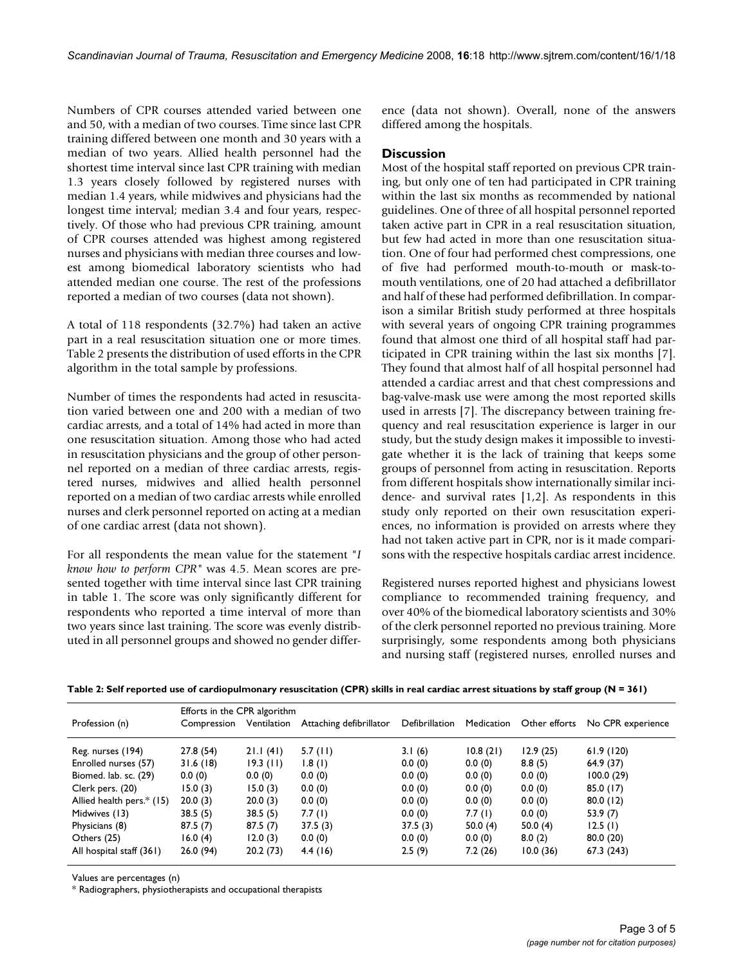Numbers of CPR courses attended varied between one and 50, with a median of two courses. Time since last CPR training differed between one month and 30 years with a median of two years. Allied health personnel had the shortest time interval since last CPR training with median 1.3 years closely followed by registered nurses with median 1.4 years, while midwives and physicians had the longest time interval; median 3.4 and four years, respectively. Of those who had previous CPR training, amount of CPR courses attended was highest among registered nurses and physicians with median three courses and lowest among biomedical laboratory scientists who had attended median one course. The rest of the professions reported a median of two courses (data not shown).

A total of 118 respondents (32.7%) had taken an active part in a real resuscitation situation one or more times. Table 2 presents the distribution of used efforts in the CPR algorithm in the total sample by professions.

Number of times the respondents had acted in resuscitation varied between one and 200 with a median of two cardiac arrests, and a total of 14% had acted in more than one resuscitation situation. Among those who had acted in resuscitation physicians and the group of other personnel reported on a median of three cardiac arrests, registered nurses, midwives and allied health personnel reported on a median of two cardiac arrests while enrolled nurses and clerk personnel reported on acting at a median of one cardiac arrest (data not shown).

For all respondents the mean value for the statement "*I know how to perform CPR"* was 4.5. Mean scores are presented together with time interval since last CPR training in table 1. The score was only significantly different for respondents who reported a time interval of more than two years since last training. The score was evenly distributed in all personnel groups and showed no gender difference (data not shown). Overall, none of the answers differed among the hospitals.

### **Discussion**

Most of the hospital staff reported on previous CPR training, but only one of ten had participated in CPR training within the last six months as recommended by national guidelines. One of three of all hospital personnel reported taken active part in CPR in a real resuscitation situation, but few had acted in more than one resuscitation situation. One of four had performed chest compressions, one of five had performed mouth-to-mouth or mask-tomouth ventilations, one of 20 had attached a defibrillator and half of these had performed defibrillation. In comparison a similar British study performed at three hospitals with several years of ongoing CPR training programmes found that almost one third of all hospital staff had participated in CPR training within the last six months [7]. They found that almost half of all hospital personnel had attended a cardiac arrest and that chest compressions and bag-valve-mask use were among the most reported skills used in arrests [7]. The discrepancy between training frequency and real resuscitation experience is larger in our study, but the study design makes it impossible to investigate whether it is the lack of training that keeps some groups of personnel from acting in resuscitation. Reports from different hospitals show internationally similar incidence- and survival rates [1,2]. As respondents in this study only reported on their own resuscitation experiences, no information is provided on arrests where they had not taken active part in CPR, nor is it made comparisons with the respective hospitals cardiac arrest incidence.

Registered nurses reported highest and physicians lowest compliance to recommended training frequency, and over 40% of the biomedical laboratory scientists and 30% of the clerk personnel reported no previous training. More surprisingly, some respondents among both physicians and nursing staff (registered nurses, enrolled nurses and

**Table 2: Self reported use of cardiopulmonary resuscitation (CPR) skills in real cardiac arrest situations by staff group (N = 361)**

|                           | Efforts in the CPR algorithm |             |                         |                |            |               |                   |  |  |  |
|---------------------------|------------------------------|-------------|-------------------------|----------------|------------|---------------|-------------------|--|--|--|
| Profession (n)            | Compression                  | Ventilation | Attaching defibrillator | Defibrillation | Medication | Other efforts | No CPR experience |  |  |  |
| Reg. nurses (194)         | 27.8 (54)                    | 21.1(41)    | 5.7(11)                 | 3.1(6)         | 10.8(21)   | 12.9(25)      | 61.9(120)         |  |  |  |
| Enrolled nurses (57)      | 31.6(18)                     | $19.3$ (11) | 1.8(1)                  | 0.0(0)         | 0.0(0)     | 8.8(5)        | 64.9 (37)         |  |  |  |
| Biomed. lab. sc. (29)     | 0.0(0)                       | 0.0(0)      | 0.0(0)                  | 0.0(0)         | 0.0(0)     | 0.0(0)        | 100.0(29)         |  |  |  |
| Clerk pers. (20)          | 15.0(3)                      | 15.0(3)     | 0.0(0)                  | 0.0(0)         | 0.0(0)     | 0.0(0)        | 85.0(17)          |  |  |  |
| Allied health pers.* (15) | 20.0(3)                      | 20.0(3)     | 0.0(0)                  | 0.0(0)         | 0.0(0)     | 0.0(0)        | 80.0(12)          |  |  |  |
| Midwives (13)             | 38.5(5)                      | 38.5(5)     | 7.7(l)                  | 0.0(0)         | 7.7(l)     | 0.0(0)        | 53.9 (7)          |  |  |  |
| Physicians (8)            | 87.5(7)                      | 87.5(7)     | 37.5(3)                 | 37.5(3)        | 50.0 $(4)$ | 50.0 $(4)$    | 12.5(1)           |  |  |  |
| Others (25)               | 16.0(4)                      | 12.0(3)     | 0.0(0)                  | 0.0(0)         | 0.0(0)     | 8.0(2)        | 80.0(20)          |  |  |  |
| All hospital staff (361)  | 26.0(94)                     | 20.2(73)    | 4.4(16)                 | 2.5(9)         | 7.2(26)    | 10.0(36)      | 67.3(243)         |  |  |  |

Values are percentages (n)

\* Radiographers, physiotherapists and occupational therapists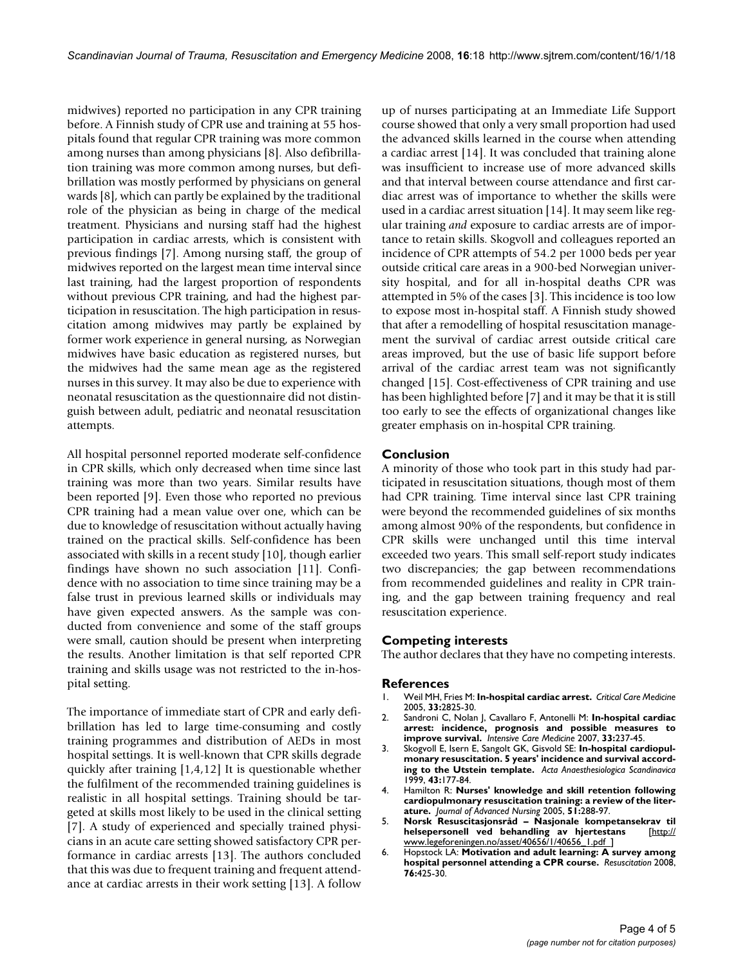midwives) reported no participation in any CPR training before. A Finnish study of CPR use and training at 55 hospitals found that regular CPR training was more common among nurses than among physicians [8]. Also defibrillation training was more common among nurses, but defibrillation was mostly performed by physicians on general wards [8], which can partly be explained by the traditional role of the physician as being in charge of the medical treatment. Physicians and nursing staff had the highest participation in cardiac arrests, which is consistent with previous findings [7]. Among nursing staff, the group of midwives reported on the largest mean time interval since last training, had the largest proportion of respondents without previous CPR training, and had the highest participation in resuscitation. The high participation in resuscitation among midwives may partly be explained by former work experience in general nursing, as Norwegian midwives have basic education as registered nurses, but the midwives had the same mean age as the registered nurses in this survey. It may also be due to experience with neonatal resuscitation as the questionnaire did not distinguish between adult, pediatric and neonatal resuscitation attempts.

All hospital personnel reported moderate self-confidence in CPR skills, which only decreased when time since last training was more than two years. Similar results have been reported [9]. Even those who reported no previous CPR training had a mean value over one, which can be due to knowledge of resuscitation without actually having trained on the practical skills. Self-confidence has been associated with skills in a recent study [10], though earlier findings have shown no such association [11]. Confidence with no association to time since training may be a false trust in previous learned skills or individuals may have given expected answers. As the sample was conducted from convenience and some of the staff groups were small, caution should be present when interpreting the results. Another limitation is that self reported CPR training and skills usage was not restricted to the in-hospital setting.

The importance of immediate start of CPR and early defibrillation has led to large time-consuming and costly training programmes and distribution of AEDs in most hospital settings. It is well-known that CPR skills degrade quickly after training [1,4,12] It is questionable whether the fulfilment of the recommended training guidelines is realistic in all hospital settings. Training should be targeted at skills most likely to be used in the clinical setting [7]. A study of experienced and specially trained physicians in an acute care setting showed satisfactory CPR performance in cardiac arrests [13]. The authors concluded that this was due to frequent training and frequent attendance at cardiac arrests in their work setting [13]. A follow

up of nurses participating at an Immediate Life Support course showed that only a very small proportion had used the advanced skills learned in the course when attending a cardiac arrest [14]. It was concluded that training alone was insufficient to increase use of more advanced skills and that interval between course attendance and first cardiac arrest was of importance to whether the skills were used in a cardiac arrest situation [14]. It may seem like regular training *and* exposure to cardiac arrests are of importance to retain skills. Skogvoll and colleagues reported an incidence of CPR attempts of 54.2 per 1000 beds per year outside critical care areas in a 900-bed Norwegian university hospital, and for all in-hospital deaths CPR was attempted in 5% of the cases [3]. This incidence is too low to expose most in-hospital staff. A Finnish study showed that after a remodelling of hospital resuscitation management the survival of cardiac arrest outside critical care areas improved, but the use of basic life support before arrival of the cardiac arrest team was not significantly changed [15]. Cost-effectiveness of CPR training and use has been highlighted before [7] and it may be that it is still too early to see the effects of organizational changes like greater emphasis on in-hospital CPR training.

# **Conclusion**

A minority of those who took part in this study had participated in resuscitation situations, though most of them had CPR training. Time interval since last CPR training were beyond the recommended guidelines of six months among almost 90% of the respondents, but confidence in CPR skills were unchanged until this time interval exceeded two years. This small self-report study indicates two discrepancies; the gap between recommendations from recommended guidelines and reality in CPR training, and the gap between training frequency and real resuscitation experience.

#### **Competing interests**

The author declares that they have no competing interests.

#### **References**

- 1. Weil MH, Fries M: **[In-hospital cardiac arrest.](http://www.ncbi.nlm.nih.gov/entrez/query.fcgi?cmd=Retrieve&db=PubMed&dopt=Abstract&list_uids=16352966)** *Critical Care Medicine* 2005, **33:**2825-30.
- 2. Sandroni C, Nolan J, Cavallaro F, Antonelli M: **[In-hospital cardiac](http://www.ncbi.nlm.nih.gov/entrez/query.fcgi?cmd=Retrieve&db=PubMed&dopt=Abstract&list_uids=17019558) [arrest: incidence, prognosis and possible measures to](http://www.ncbi.nlm.nih.gov/entrez/query.fcgi?cmd=Retrieve&db=PubMed&dopt=Abstract&list_uids=17019558) [improve survival.](http://www.ncbi.nlm.nih.gov/entrez/query.fcgi?cmd=Retrieve&db=PubMed&dopt=Abstract&list_uids=17019558)** *Intensive Care Medicine* 2007, **33:**237-45.
- 3. Skogvoll E, Isern E, Sangolt GK, Gisvold SE: **[In-hospital cardiopul](http://www.ncbi.nlm.nih.gov/entrez/query.fcgi?cmd=Retrieve&db=PubMed&dopt=Abstract&list_uids=10027025)[monary resuscitation. 5 years' incidence and survival accord](http://www.ncbi.nlm.nih.gov/entrez/query.fcgi?cmd=Retrieve&db=PubMed&dopt=Abstract&list_uids=10027025)[ing to the Utstein template.](http://www.ncbi.nlm.nih.gov/entrez/query.fcgi?cmd=Retrieve&db=PubMed&dopt=Abstract&list_uids=10027025)** *Acta Anaesthesiologica Scandinavica* 1999, **43:**177-84.
- 4. Hamilton R: **[Nurses' knowledge and skill retention following](http://www.ncbi.nlm.nih.gov/entrez/query.fcgi?cmd=Retrieve&db=PubMed&dopt=Abstract&list_uids=16033596) [cardiopulmonary resuscitation training: a review of the liter](http://www.ncbi.nlm.nih.gov/entrez/query.fcgi?cmd=Retrieve&db=PubMed&dopt=Abstract&list_uids=16033596)[ature.](http://www.ncbi.nlm.nih.gov/entrez/query.fcgi?cmd=Retrieve&db=PubMed&dopt=Abstract&list_uids=16033596)** *Journal of Advanced Nursing* 2005, **51:**288-97.
- 5. **Norsk Resuscitasjonsråd Nasjonale kompetansekrav til helsepersonell ved behandling av hjertestans** [\[http://](http://www.legeforeningen.no/asset/40656/1/40656_1.pdf  ) [www.legeforeningen.no/asset/40656/1/40656\\_1.pdf \]](http://www.legeforeningen.no/asset/40656/1/40656_1.pdf  )
- 6. Hopstock LA: **[Motivation and adult learning: A survey among](http://www.ncbi.nlm.nih.gov/entrez/query.fcgi?cmd=Retrieve&db=PubMed&dopt=Abstract&list_uids=18022752) [hospital personnel attending a CPR course.](http://www.ncbi.nlm.nih.gov/entrez/query.fcgi?cmd=Retrieve&db=PubMed&dopt=Abstract&list_uids=18022752)** *Resuscitation* 2008, **76:**425-30.